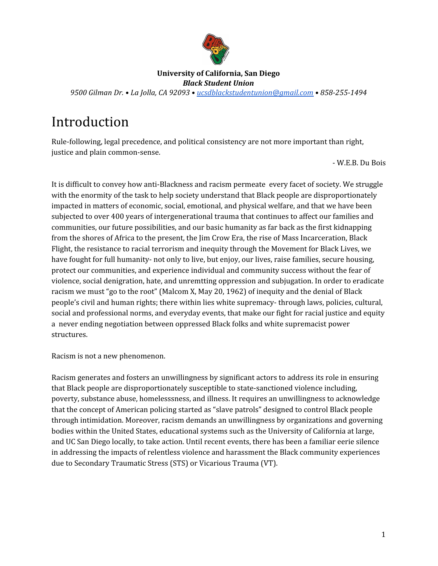

#### **University of California, San Diego** *Black Student Union*

*9500 Gilman Dr. • La Jolla, CA 92093 • [ucsdblackstudentunion@gmail.com](mailto:ucsdblackstudentunion@gmail.com) • 858-255-1494*

# Introduction

Rule-following, legal precedence, and political consistency are not more important than right, justice and plain common-sense.

- W.E.B. Du Bois

It is difficult to convey how anti-Blackness and racism permeate every facet of society. We struggle with the enormity of the task to help society understand that Black people are disproportionately impacted in matters of economic, social, emotional, and physical welfare, and that we have been subjected to over 400 years of intergenerational trauma that continues to affect our families and communities, our future possibilities, and our basic humanity as far back as the first kidnapping from the shores of Africa to the present, the Jim Crow Era, the rise of Mass Incarceration, Black Flight, the resistance to racial terrorism and inequity through the Movement for Black Lives, we have fought for full humanity- not only to live, but enjoy, our lives, raise families, secure housing, protect our communities, and experience individual and community success without the fear of violence, social denigration, hate, and unremtting oppression and subjugation. In order to eradicate racism we must "go to the root" (Malcom X, May 20, 1962) of inequity and the denial of Black people's civil and human rights; there within lies white supremacy- through laws, policies, cultural, social and professional norms, and everyday events, that make our fight for racial justice and equity a never ending negotiation between oppressed Black folks and white supremacist power structures.

Racism is not a new phenomenon.

Racism generates and fosters an unwillingness by significant actors to address its role in ensuring that Black people are disproportionately susceptible to state-sanctioned violence including, poverty, substance abuse, homelesssness, and illness. It requires an unwillingness to acknowledge that the concept of American policing started as "slave patrols" designed to control Black people through intimidation. Moreover, racism demands an unwillingness by organizations and governing bodies within the United States, educational systems such as the University of California at large, and UC San Diego locally, to take action. Until recent events, there has been a familiar eerie silence in addressing the impacts of relentless violence and harassment the Black community experiences due to Secondary Traumatic Stress (STS) or Vicarious Trauma (VT).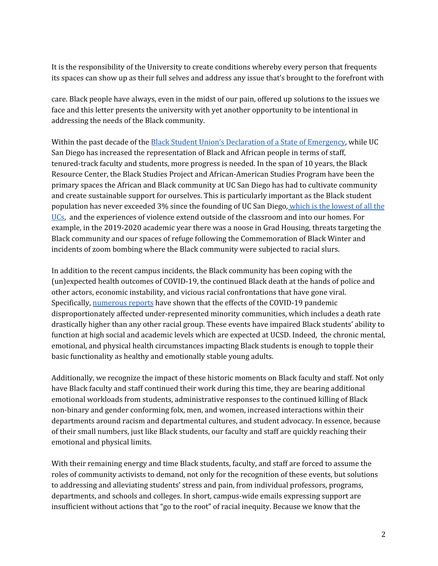It is the responsibility of the University to create conditions whereby every person that frequents its spaces can show up as their full selves and address any issue that's brought to the forefront with

care. Black people have always, even in the midst of our pain, offered up solutions to the issues we face and this letter presents the university with yet another opportunity to be intentional in addressing the needs of the Black community.

Within the past decade of the Black Student Union's [Declaration](https://pages.ucsd.edu/~rfrank/class_web/BSUresearch/Black%20Student%20Union%20at%20UC%20San%20Diego-State%20of%20Emergency-Demands022510.pdf) of a State of Emergency, while UC San Diego has increased the representation of Black and African people in terms of staff, tenured-track faculty and students, more progress is needed. In the span of 10 years, the Black Resource Center, the Black Studies Project and African-American Studies Program have been the primary spaces the African and Black community at UC San Diego has had to cultivate community and create sustainable support for ourselves. This is particularly important as the Black student population has never exceeded 3% since the founding of UC San Diego, which is the [lowest](https://docs.google.com/spreadsheets/d/1YnUf1Ir4WXVWoouUvuA_SM5PChXIxXH9UjjPlX62Xdo/edit#gid=0) of all the [UCs](https://docs.google.com/spreadsheets/d/1YnUf1Ir4WXVWoouUvuA_SM5PChXIxXH9UjjPlX62Xdo/edit#gid=0), and the experiences of violence extend outside of the classroom and into our homes. For example, in the 2019-2020 academic year there was a noose in Grad Housing, threats targeting the Black community and our spaces of refuge following the Commemoration of Black Winter and incidents of zoom bombing where the Black community were subjected to racial slurs.

In addition to the recent campus incidents, the Black community has been coping with the (un)expected health outcomes of COVID-19, the continued Black death at the hands of police and other actors, economic instability, and vicious racial confrontations that have gone viral. Specifically, [numerous](https://www.cdc.gov/coronavirus/2019-ncov/need-extra-precautions/racial-ethnic-minorities.html) reports have shown that the effects of the COVID-19 pandemic disproportionately affected under-represented minority communities, which includes a death rate drastically higher than any other racial group. These events have impaired Black students' ability to function at high social and academic levels which are expected at UCSD. Indeed, the chronic mental, emotional, and physical health circumstances impacting Black students is enough to topple their basic functionality as healthy and emotionally stable young adults.

Additionally, we recognize the impact of these historic moments on Black faculty and staff. Not only have Black faculty and staff continued their work during this time, they are bearing additional emotional workloads from students, administrative responses to the continued killing of Black non-binary and gender conforming folx, men, and women, increased interactions within their departments around racism and departmental cultures, and student advocacy. In essence, because of their small numbers, just like Black students, our faculty and staff are quickly reaching their emotional and physical limits.

With their remaining energy and time Black students, faculty, and staff are forced to assume the roles of community activists to demand, not only for the recognition of these events, but solutions to addressing and alleviating students' stress and pain, from individual professors, programs, departments, and schools and colleges. In short, campus-wide emails expressing support are insufficient without actions that "go to the root" of racial inequity. Because we know that the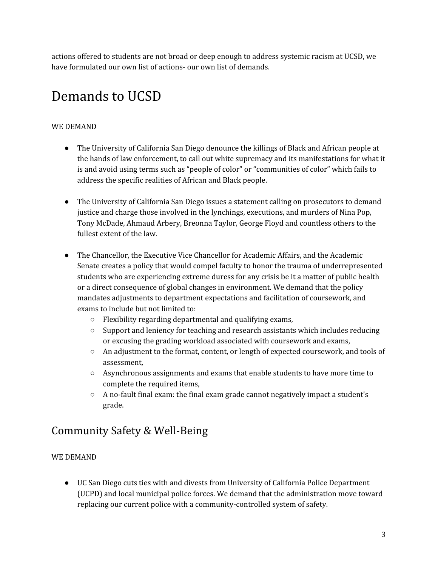actions offered to students are not broad or deep enough to address systemic racism at UCSD, we have formulated our own list of actions- our own list of demands.

# Demands to UCSD

### WE DEMAND

- The University of California San Diego denounce the killings of Black and African people at the hands of law enforcement, to call out white supremacy and its manifestations for what it is and avoid using terms such as "people of color" or "communities of color" which fails to address the specific realities of African and Black people.
- The University of California San Diego issues a statement calling on prosecutors to demand justice and charge those involved in the lynchings, executions, and murders of Nina Pop, Tony McDade, Ahmaud Arbery, Breonna Taylor, George Floyd and countless others to the fullest extent of the law.
- The Chancellor, the Executive Vice Chancellor for Academic Affairs, and the Academic Senate creates a policy that would compel faculty to honor the trauma of underrepresented students who are experiencing extreme duress for any crisis be it a matter of public health or a direct consequence of global changes in environment. We demand that the policy mandates adjustments to department expectations and facilitation of coursework, and exams to include but not limited to:
	- Flexibility regarding departmental and qualifying exams,
	- Support and leniency for teaching and research assistants which includes reducing or excusing the grading workload associated with coursework and exams,
	- An adjustment to the format, content, or length of expected coursework, and tools of assessment,
	- Asynchronous assignments and exams that enable students to have more time to complete the required items,
	- $\circ$  A no-fault final exam: the final exam grade cannot negatively impact a student's grade.

# Community Safety & Well-Being

### WE DEMAND

● UC San Diego cuts ties with and divests from University of California Police Department (UCPD) and local municipal police forces. We demand that the administration move toward replacing our current police with a community-controlled system of safety.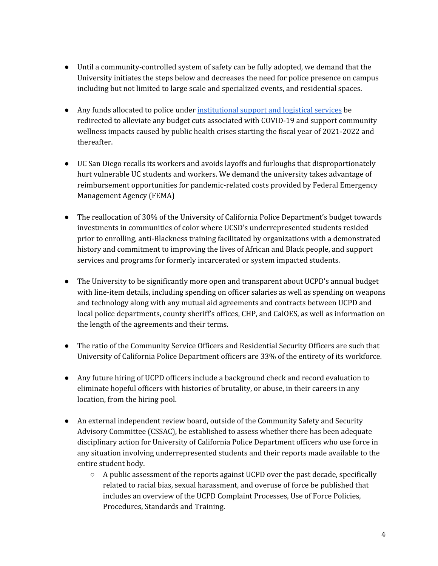- Until a community-controlled system of safety can be fully adopted, we demand that the University initiates the steps below and decreases the need for police presence on campus including but not limited to large scale and specialized events, and residential spaces.
- Any funds allocated to police under [institutional](https://www.ucop.edu/operating-budget/_files/rbudget/2020-21-budget-detail.pdf) support and logistical services be redirected to alleviate any budget cuts associated with COVID-19 and support community wellness impacts caused by public health crises starting the fiscal year of 2021-2022 and thereafter.
- UC San Diego recalls its workers and avoids layoffs and furloughs that disproportionately hurt vulnerable UC students and workers. We demand the university takes advantage of reimbursement opportunities for pandemic-related costs provided by Federal Emergency Management Agency (FEMA)
- The reallocation of 30% of the University of California Police Department's budget towards investments in communities of color where UCSD's underrepresented students resided prior to enrolling, anti-Blackness training facilitated by organizations with a demonstrated history and commitment to improving the lives of African and Black people, and support services and programs for formerly incarcerated or system impacted students.
- The University to be significantly more open and transparent about UCPD's annual budget with line-item details, including spending on officer salaries as well as spending on weapons and technology along with any mutual aid agreements and contracts between UCPD and local police departments, county sheriff's offices, CHP, and CalOES, as well as information on the length of the agreements and their terms.
- The ratio of the Community Service Officers and Residential Security Officers are such that University of California Police Department officers are 33% of the entirety of its workforce.
- Any future hiring of UCPD officers include a background check and record evaluation to eliminate hopeful officers with histories of brutality, or abuse, in their careers in any location, from the hiring pool.
- An external independent review board, outside of the Community Safety and Security Advisory Committee (CSSAC), be established to assess whether there has been adequate disciplinary action for University of California Police Department officers who use force in any situation involving underrepresented students and their reports made available to the entire student body.
	- $\circ$  A public assessment of the reports against UCPD over the past decade, specifically related to racial bias, sexual harassment, and overuse of force be published that includes an overview of the UCPD Complaint Processes, Use of Force Policies, Procedures, Standards and Training.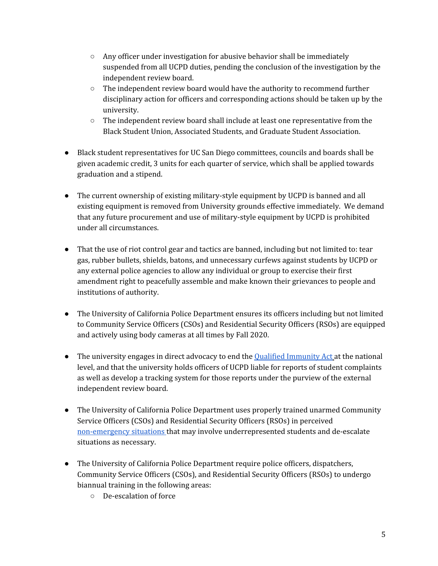- $\circ$  Any officer under investigation for abusive behavior shall be immediately suspended from all UCPD duties, pending the conclusion of the investigation by the independent review board.
- $\circ$  The independent review board would have the authority to recommend further disciplinary action for officers and corresponding actions should be taken up by the university.
- $\circ$  The independent review board shall include at least one representative from the Black Student Union, Associated Students, and Graduate Student Association.
- Black student representatives for UC San Diego committees, councils and boards shall be given academic credit, 3 units for each quarter of service, which shall be applied towards graduation and a stipend.
- The current ownership of existing military-style equipment by UCPD is banned and all existing equipment is removed from University grounds effective immediately. We demand that any future procurement and use of military-style equipment by UCPD is prohibited under all circumstances.
- That the use of riot control gear and tactics are banned, including but not limited to: tear gas, rubber bullets, shields, batons, and unnecessary curfews against students by UCPD or any external police agencies to allow any individual or group to exercise their first amendment right to peacefully assemble and make known their grievances to people and institutions of authority.
- The University of California Police Department ensures its officers including but not limited to Community Service Officers (CSOs) and Residential Security Officers (RSOs) are equipped and actively using body cameras at all times by Fall 2020.
- The university engages in direct advocacy to end the Qualified [Immunity](https://amash.house.gov/sites/amash.house.gov/files/wysiwyg_uploaded/Ending%20Qualified%20Immunity%20Act_0.pdf) Act at the national level, and that the university holds officers of UCPD liable for reports of student complaints as well as develop a tracking system for those reports under the purview of the external independent review board.
- The University of California Police Department uses properly trained unarmed Community Service Officers (CSOs) and Residential Security Officers (RSOs) in perceived [non-emergency](http://www.police.ucsd.edu/docs/annualclery.pdf) situations that may involve underrepresented students and de-escalate situations as necessary.
- The University of California Police Department require police officers, dispatchers, Community Service Officers (CSOs), and Residential Security Officers (RSOs) to undergo biannual training in the following areas:
	- De-escalation of force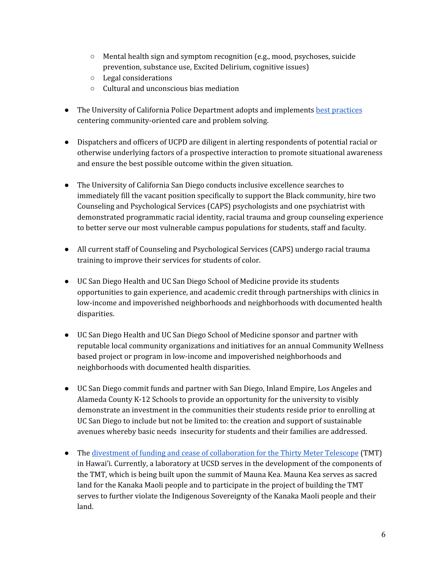- $\circ$  Mental health sign and symptom recognition (e.g., mood, psychoses, suicide prevention, substance use, Excited Delirium, cognitive issues)
- Legal considerations
- Cultural and unconscious bias mediation
- The University of California Police Department adopts and implements best [practices](https://b.3cdn.net/advancement/d4c53855e6cc64be47_cdm6bni11.pdf) centering community-oriented care and problem solving.
- Dispatchers and officers of UCPD are diligent in alerting respondents of potential racial or otherwise underlying factors of a prospective interaction to promote situational awareness and ensure the best possible outcome within the given situation.
- The University of California San Diego conducts inclusive excellence searches to immediately fill the vacant position specifically to support the Black community, hire two Counseling and Psychological Services (CAPS) psychologists and one psychiatrist with demonstrated programmatic racial identity, racial trauma and group counseling experience to better serve our most vulnerable campus populations for students, staff and faculty.
- All current staff of Counseling and Psychological Services (CAPS) undergo racial trauma training to improve their services for students of color.
- UC San Diego Health and UC San Diego School of Medicine provide its students opportunities to gain experience, and academic credit through partnerships with clinics in low-income and impoverished neighborhoods and neighborhoods with documented health disparities.
- UC San Diego Health and UC San Diego School of Medicine sponsor and partner with reputable local community organizations and initiatives for an annual Community Wellness based project or program in low-income and impoverished neighborhoods and neighborhoods with documented health disparities.
- UC San Diego commit funds and partner with San Diego, Inland Empire, Los Angeles and Alameda County K-12 Schools to provide an opportunity for the university to visibly demonstrate an investment in the communities their students reside prior to enrolling at UC San Diego to include but not be limited to: the creation and support of sustainable avenues whereby basic needs insecurity for students and their families are addressed.
- The divestment of funding and cease of [collaboration](https://kalahuihawaiipoliticalactioncommitteedotorg.files.wordpress.com/2019/01/uc-student-tmtletter_26jan1.pdf) for the Thirty Meter Telescope (TMT) in Hawai'i. Currently, a laboratory at UCSD serves in the development of the components of the TMT, which is being built upon the summit of Mauna Kea. Mauna Kea serves as sacred land for the Kanaka Maoli people and to participate in the project of building the TMT serves to further violate the Indigenous Sovereignty of the Kanaka Maoli people and their land.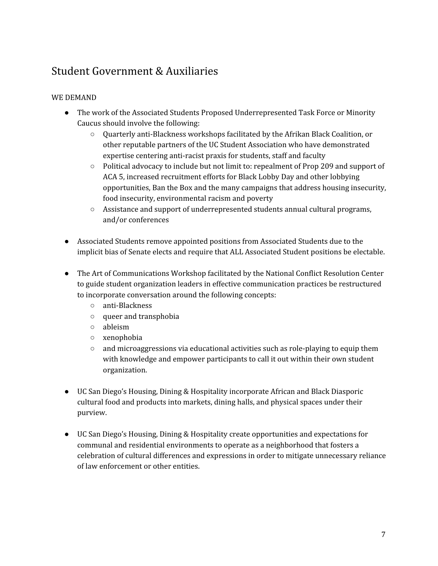# Student Government & Auxiliaries

- The work of the Associated Students Proposed Underrepresented Task Force or Minority Caucus should involve the following:
	- Quarterly anti-Blackness workshops facilitated by the Afrikan Black Coalition, or other reputable partners of the UC Student Association who have demonstrated expertise centering anti-racist praxis for students, staff and faculty
	- Political advocacy to include but not limit to: repealment of Prop 209 and support of ACA 5, increased recruitment efforts for Black Lobby Day and other lobbying opportunities, Ban the Box and the many campaigns that address housing insecurity, food insecurity, environmental racism and poverty
	- Assistance and support of underrepresented students annual cultural programs, and/or conferences
- Associated Students remove appointed positions from Associated Students due to the implicit bias of Senate elects and require that ALL Associated Student positions be electable.
- The Art of Communications Workshop facilitated by the National Conflict Resolution Center to guide student organization leaders in effective communication practices be restructured to incorporate conversation around the following concepts:
	- anti-Blackness
	- queer and transphobia
	- ableism
	- xenophobia
	- $\circ$  and microaggressions via educational activities such as role-playing to equip them with knowledge and empower participants to call it out within their own student organization.
- UC San Diego's Housing, Dining & Hospitality incorporate African and Black Diasporic cultural food and products into markets, dining halls, and physical spaces under their purview.
- UC San Diego's Housing, Dining & Hospitality create opportunities and expectations for communal and residential environments to operate as a neighborhood that fosters a celebration of cultural differences and expressions in order to mitigate unnecessary reliance of law enforcement or other entities.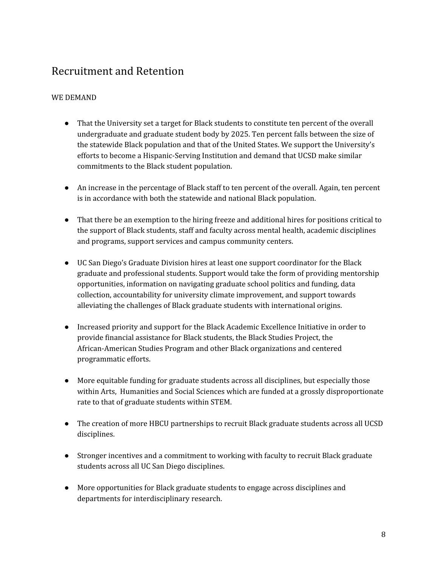### Recruitment and Retention

- That the University set a target for Black students to constitute ten percent of the overall undergraduate and graduate student body by 2025. Ten percent falls between the size of the statewide Black population and that of the United States. We support the University's efforts to become a Hispanic-Serving Institution and demand that UCSD make similar commitments to the Black student population.
- An increase in the percentage of Black staff to ten percent of the overall. Again, ten percent is in accordance with both the statewide and national Black population.
- That there be an exemption to the hiring freeze and additional hires for positions critical to the support of Black students, staff and faculty across mental health, academic disciplines and programs, support services and campus community centers.
- UC San Diego's Graduate Division hires at least one support coordinator for the Black graduate and professional students. Support would take the form of providing mentorship opportunities, information on navigating graduate school politics and funding, data collection, accountability for university climate improvement, and support towards alleviating the challenges of Black graduate students with international origins.
- Increased priority and support for the Black Academic Excellence Initiative in order to provide financial assistance for Black students, the Black Studies Project, the African-American Studies Program and other Black organizations and centered programmatic efforts.
- More equitable funding for graduate students across all disciplines, but especially those within Arts, Humanities and Social Sciences which are funded at a grossly disproportionate rate to that of graduate students within STEM.
- The creation of more HBCU partnerships to recruit Black graduate students across all UCSD disciplines.
- Stronger incentives and a commitment to working with faculty to recruit Black graduate students across all UC San Diego disciplines.
- More opportunities for Black graduate students to engage across disciplines and departments for interdisciplinary research.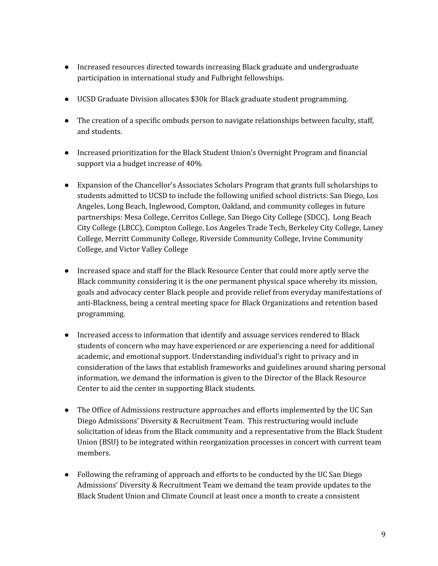- Increased resources directed towards increasing Black graduate and undergraduate participation in international study and Fulbright fellowships.
- UCSD Graduate Division allocates \$30k for Black graduate student programming.
- The creation of a specific ombuds person to navigate relationships between faculty, staff, and students.
- Increased prioritization for the Black Student Union's Overnight Program and financial support via a budget increase of 40%
- Expansion of the Chancellor's Associates Scholars Program that grants full scholarships to students admitted to UCSD to include the following unified school districts: San Diego, Los Angeles, Long Beach, Inglewood, Compton, Oakland, and community colleges in future partnerships: Mesa College, Cerritos College, San Diego City College (SDCC), Long Beach City College (LBCC), Compton College, Los Angeles Trade Tech, Berkeley City College, Laney College, Merritt Community College, Riverside Community College, Irvine Community College, and Victor Valley College
- Increased space and staff for the Black Resource Center that could more aptly serve the Black community considering it is the one permanent physical space whereby its mission, goals and advocacy center Black people and provide relief from everyday manifestations of anti-Blackness, being a central meeting space for Black Organizations and retention based programming.
- Increased access to information that identify and assuage services rendered to Black students of concern who may have experienced or are experiencing a need for additional academic, and emotional support. Understanding individual's right to privacy and in consideration of the laws that establish frameworks and guidelines around sharing personal information, we demand the information is given to the Director of the Black Resource Center to aid the center in supporting Black students.
- The Office of Admissions restructure approaches and efforts implemented by the UC San Diego Admissions' Diversity & Recruitment Team. This restructuring would include solicitation of ideas from the Black community and a representative from the Black Student Union (BSU) to be integrated within reorganization processes in concert with current team members.
- Following the reframing of approach and efforts to be conducted by the UC San Diego Admissions' Diversity & Recruitment Team we demand the team provide updates to the Black Student Union and Climate Council at least once a month to create a consistent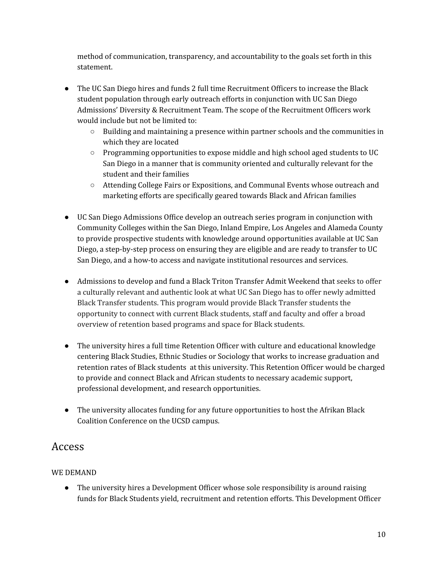method of communication, transparency, and accountability to the goals set forth in this statement.

- The UC San Diego hires and funds 2 full time Recruitment Officers to increase the Black student population through early outreach efforts in conjunction with UC San Diego Admissions' Diversity & Recruitment Team. The scope of the Recruitment Officers work would include but not be limited to:
	- $\circ$  Building and maintaining a presence within partner schools and the communities in which they are located
	- Programming opportunities to expose middle and high school aged students to UC San Diego in a manner that is community oriented and culturally relevant for the student and their families
	- Attending College Fairs or Expositions, and Communal Events whose outreach and marketing efforts are specifically geared towards Black and African families
- UC San Diego Admissions Office develop an outreach series program in conjunction with Community Colleges within the San Diego, Inland Empire, Los Angeles and Alameda County to provide prospective students with knowledge around opportunities available at UC San Diego, a step-by-step process on ensuring they are eligible and are ready to transfer to UC San Diego, and a how-to access and navigate institutional resources and services.
- Admissions to develop and fund a Black Triton Transfer Admit Weekend that seeks to offer a culturally relevant and authentic look at what UC San Diego has to offer newly admitted Black Transfer students. This program would provide Black Transfer students the opportunity to connect with current Black students, staff and faculty and offer a broad overview of retention based programs and space for Black students.
- The university hires a full time Retention Officer with culture and educational knowledge centering Black Studies, Ethnic Studies or Sociology that works to increase graduation and retention rates of Black students at this university. This Retention Officer would be charged to provide and connect Black and African students to necessary academic support, professional development, and research opportunities.
- The university allocates funding for any future opportunities to host the Afrikan Black Coalition Conference on the UCSD campus.

## Access

### WE DEMAND

● The university hires a Development Officer whose sole responsibility is around raising funds for Black Students yield, recruitment and retention efforts. This Development Officer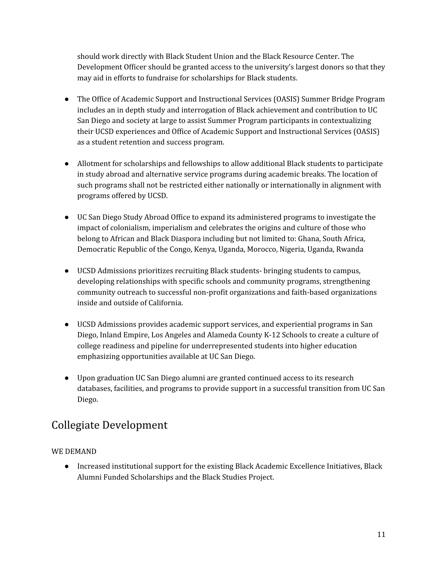should work directly with Black Student Union and the Black Resource Center. The Development Officer should be granted access to the university's largest donors so that they may aid in efforts to fundraise for scholarships for Black students.

- The Office of Academic Support and Instructional Services (OASIS) Summer Bridge Program includes an in depth study and interrogation of Black achievement and contribution to UC San Diego and society at large to assist Summer Program participants in contextualizing their UCSD experiences and Office of Academic Support and Instructional Services (OASIS) as a student retention and success program.
- Allotment for scholarships and fellowships to allow additional Black students to participate in study abroad and alternative service programs during academic breaks. The location of such programs shall not be restricted either nationally or internationally in alignment with programs offered by UCSD.
- UC San Diego Study Abroad Office to expand its administered programs to investigate the impact of colonialism, imperialism and celebrates the origins and culture of those who belong to African and Black Diaspora including but not limited to: Ghana, South Africa, Democratic Republic of the Congo, Kenya, Uganda, Morocco, Nigeria, Uganda, Rwanda
- UCSD Admissions prioritizes recruiting Black students- bringing students to campus, developing relationships with specific schools and community programs, strengthening community outreach to successful non-profit organizations and faith-based organizations inside and outside of California.
- UCSD Admissions provides academic support services, and experiential programs in San Diego, Inland Empire, Los Angeles and Alameda County K-12 Schools to create a culture of college readiness and pipeline for underrepresented students into higher education emphasizing opportunities available at UC San Diego.
- Upon graduation UC San Diego alumni are granted continued access to its research databases, facilities, and programs to provide support in a successful transition from UC San Diego.

## Collegiate Development

#### WE DEMAND

● Increased institutional support for the existing Black Academic Excellence Initiatives, Black Alumni Funded Scholarships and the Black Studies Project.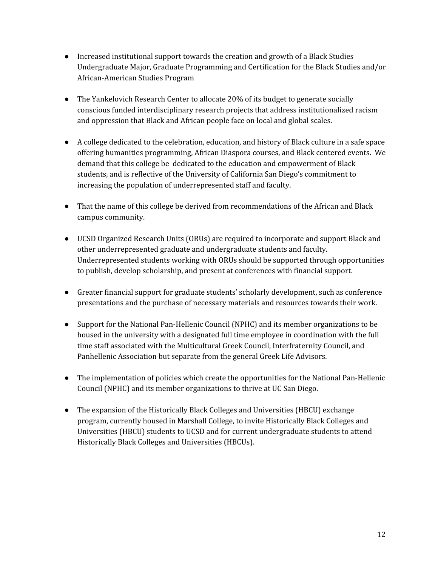- Increased institutional support towards the creation and growth of a Black Studies Undergraduate Major, Graduate Programming and Certification for the Black Studies and/or African-American Studies Program
- The Yankelovich Research Center to allocate 20% of its budget to generate socially conscious funded interdisciplinary research projects that address institutionalized racism and oppression that Black and African people face on local and global scales.
- A college dedicated to the celebration, education, and history of Black culture in a safe space offering humanities programming, African Diaspora courses, and Black centered events. We demand that this college be dedicated to the education and empowerment of Black students, and is reflective of the University of California San Diego's commitment to increasing the population of underrepresented staff and faculty.
- That the name of this college be derived from recommendations of the African and Black campus community.
- UCSD Organized Research Units (ORUs) are required to incorporate and support Black and other underrepresented graduate and undergraduate students and faculty. Underrepresented students working with ORUs should be supported through opportunities to publish, develop scholarship, and present at conferences with financial support.
- Greater financial support for graduate students' scholarly development, such as conference presentations and the purchase of necessary materials and resources towards their work.
- Support for the National Pan-Hellenic Council (NPHC) and its member organizations to be housed in the university with a designated full time employee in coordination with the full time staff associated with the Multicultural Greek Council, Interfraternity Council, and Panhellenic Association but separate from the general Greek Life Advisors.
- The implementation of policies which create the opportunities for the National Pan-Hellenic Council (NPHC) and its member organizations to thrive at UC San Diego.
- The expansion of the Historically Black Colleges and Universities (HBCU) exchange program, currently housed in Marshall College, to invite Historically Black Colleges and Universities (HBCU) students to UCSD and for current undergraduate students to attend Historically Black Colleges and Universities (HBCUs).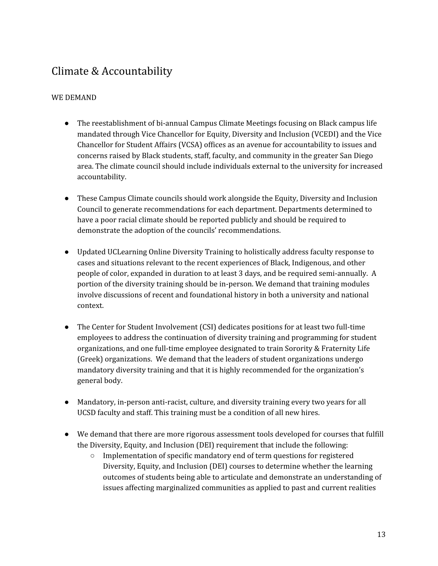### Climate & Accountability

- The reestablishment of bi-annual Campus Climate Meetings focusing on Black campus life mandated through Vice Chancellor for Equity, Diversity and Inclusion (VCEDI) and the Vice Chancellor for Student Affairs (VCSA) offices as an avenue for accountability to issues and concerns raised by Black students, staff, faculty, and community in the greater San Diego area. The climate council should include individuals external to the university for increased accountability.
- These Campus Climate councils should work alongside the Equity, Diversity and Inclusion Council to generate recommendations for each department. Departments determined to have a poor racial climate should be reported publicly and should be required to demonstrate the adoption of the councils' recommendations.
- Updated UCLearning Online Diversity Training to holistically address faculty response to cases and situations relevant to the recent experiences of Black, Indigenous, and other people of color, expanded in duration to at least 3 days, and be required semi-annually. A portion of the diversity training should be in-person. We demand that training modules involve discussions of recent and foundational history in both a university and national context.
- The Center for Student Involvement (CSI) dedicates positions for at least two full-time employees to address the continuation of diversity training and programming for student organizations, and one full-time employee designated to train Sorority & Fraternity Life (Greek) organizations. We demand that the leaders of student organizations undergo mandatory diversity training and that it is highly recommended for the organization's general body.
- Mandatory, in-person anti-racist, culture, and diversity training every two years for all UCSD faculty and staff. This training must be a condition of all new hires.
- We demand that there are more rigorous assessment tools developed for courses that fulfill the Diversity, Equity, and Inclusion (DEI) requirement that include the following:
	- Implementation of specific mandatory end of term questions for registered Diversity, Equity, and Inclusion (DEI) courses to determine whether the learning outcomes of students being able to articulate and demonstrate an understanding of issues affecting marginalized communities as applied to past and current realities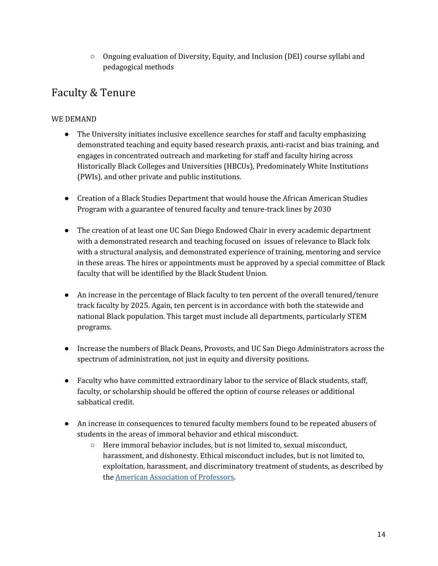○ Ongoing evaluation of Diversity, Equity, and Inclusion (DEI) course syllabi and pedagogical methods

# Faculty & Tenure

- The University initiates inclusive excellence searches for staff and faculty emphasizing demonstrated teaching and equity based research praxis, anti-racist and bias training, and engages in concentrated outreach and marketing for staff and faculty hiring across Historically Black Colleges and Universities (HBCUs), Predominately White Institutions (PWIs), and other private and public institutions.
- Creation of a Black Studies Department that would house the African American Studies Program with a guarantee of tenured faculty and tenure-track lines by 2030
- The creation of at least one UC San Diego Endowed Chair in every academic department with a demonstrated research and teaching focused on issues of relevance to Black folx with a structural analysis, and demonstrated experience of training, mentoring and service in these areas. The hires or appointments must be approved by a special committee of Black faculty that will be identified by the Black Student Union.
- An increase in the percentage of Black faculty to ten percent of the overall tenured/tenure track faculty by 2025. Again, ten percent is in accordance with both the statewide and national Black population. This target must include all departments, particularly STEM programs.
- Increase the numbers of Black Deans, Provosts, and UC San Diego Administrators across the spectrum of administration, not just in equity and diversity positions.
- Faculty who have committed extraordinary labor to the service of Black students, staff, faculty, or scholarship should be offered the option of course releases or additional sabbatical credit.
- An increase in consequences to tenured faculty members found to be repeated abusers of students in the areas of immoral behavior and ethical misconduct.
	- Here immoral behavior includes, but is not limited to, sexual misconduct, harassment, and dishonesty. Ethical misconduct includes, but is not limited to, exploitation, harassment, and discriminatory treatment of students, as described by the American [Association](https://www.aaup.org/issues/appointments-promotions-discipline/termination-discipline-2004) of Professors.